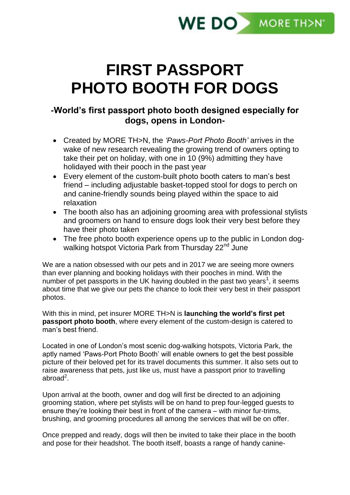

# **FIRST PASSPORT PHOTO BOOTH FOR DOGS**

# **-World's first passport photo booth designed especially for dogs, opens in London-**

- Created by MORE TH>N, the *'Paws-Port Photo Booth'* arrives in the wake of new research revealing the growing trend of owners opting to take their pet on holiday, with one in 10 (9%) admitting they have holidayed with their pooch in the past year
- Every element of the custom-built photo booth caters to man's best friend – including adjustable basket-topped stool for dogs to perch on and canine-friendly sounds being played within the space to aid relaxation
- The booth also has an adjoining grooming area with professional stylists and groomers on hand to ensure dogs look their very best before they have their photo taken
- The free photo booth experience opens up to the public in London dogwalking hotspot Victoria Park from Thursday 22<sup>nd</sup> June

We are a nation obsessed with our pets and in 2017 we are seeing more owners than ever planning and booking holidays with their pooches in mind. With the number of pet passports in the UK having doubled in the past two years<sup>1</sup>, it seems about time that we give our pets the chance to look their very best in their passport photos.

With this in mind, pet insurer MORE TH>N is **launching the world's first pet passport photo booth**, where every element of the custom-design is catered to man's best friend.

Located in one of London's most scenic dog-walking hotspots, Victoria Park, the aptly named 'Paws-Port Photo Booth' will enable owners to get the best possible picture of their beloved pet for its travel documents this summer. It also sets out to raise awareness that pets, just like us, must have a passport prior to travelling abroad $^2$ .

Upon arrival at the booth, owner and dog will first be directed to an adjoining grooming station, where pet stylists will be on hand to prep four-legged guests to ensure they're looking their best in front of the camera – with minor fur-trims, brushing, and grooming procedures all among the services that will be on offer.

Once prepped and ready, dogs will then be invited to take their place in the booth and pose for their headshot. The booth itself, boasts a range of handy canine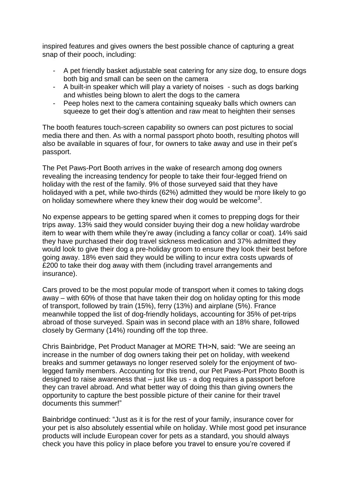inspired features and gives owners the best possible chance of capturing a great snap of their pooch, including:

- A pet friendly basket adjustable seat catering for any size dog, to ensure dogs both big and small can be seen on the camera
- A built-in speaker which will play a variety of noises such as dogs barking and whistles being blown to alert the dogs to the camera
- Peep holes next to the camera containing squeaky balls which owners can squeeze to get their dog's attention and raw meat to heighten their senses

The booth features touch-screen capability so owners can post pictures to social media there and then. As with a normal passport photo booth, resulting photos will also be available in squares of four, for owners to take away and use in their pet's passport.

The Pet Paws-Port Booth arrives in the wake of research among dog owners revealing the increasing tendency for people to take their four-legged friend on holiday with the rest of the family. 9% of those surveyed said that they have holidayed with a pet, while two-thirds (62%) admitted they would be more likely to go on holiday somewhere where they knew their dog would be welcome<sup>3</sup>.

No expense appears to be getting spared when it comes to prepping dogs for their trips away. 13% said they would consider buying their dog a new holiday wardrobe item to wear with them while they're away (including a fancy collar or coat). 14% said they have purchased their dog travel sickness medication and 37% admitted they would look to give their dog a pre-holiday groom to ensure they look their best before going away. 18% even said they would be willing to incur extra costs upwards of £200 to take their dog away with them (including travel arrangements and insurance).

Cars proved to be the most popular mode of transport when it comes to taking dogs away – with 60% of those that have taken their dog on holiday opting for this mode of transport, followed by train (15%), ferry (13%) and airplane (5%). France meanwhile topped the list of dog-friendly holidays, accounting for 35% of pet-trips abroad of those surveyed. Spain was in second place with an 18% share, followed closely by Germany (14%) rounding off the top three.

Chris Bainbridge, Pet Product Manager at MORE TH>N, said: "We are seeing an increase in the number of dog owners taking their pet on holiday, with weekend breaks and summer getaways no longer reserved solely for the enjoyment of twolegged family members. Accounting for this trend, our Pet Paws-Port Photo Booth is designed to raise awareness that – just like us - a dog requires a passport before they can travel abroad. And what better way of doing this than giving owners the opportunity to capture the best possible picture of their canine for their travel documents this summer!"

Bainbridge continued: "Just as it is for the rest of your family, insurance cover for your pet is also absolutely essential while on holiday. While most good pet insurance products will include European cover for pets as a standard, you should always check you have this policy in place before you travel to ensure you're covered if